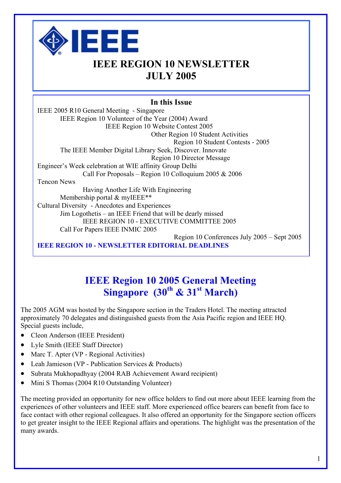

# **IEEE REGION 10 NEWSLETTER JULY 2005**

### **In this Issue**

IEEE 2005 R10 General Meeting - Singapore IEEE Region 10 Volunteer of the Year (2004) Award IEEE Region 10 Website Contest 2005 Other Region 10 Student Activities Region 10 Student Contests - 2005 The IEEE Member Digital Library Seek, Discover. Innovate Region 10 Director Message Engineer's Week celebration at WIE affinity Group Delhi Call For Proposals – Region 10 Colloquium 2005 & 2006 Tencon News Having Another Life With Engineering Membership portal & myIEEE\*\* Cultural Diversity - Anecdotes and Experiences Jim Logothetis – an IEEE Friend that will be dearly missed IEEE REGION 10 - EXECUTIVE COMMITTEE 2005 Call For Papers IEEE INMIC 2005 Region 10 Conferences July 2005 – Sept 2005 **IEEE REGION 10 - NEWSLETTER EDITORIAL DEADLINES** 

# **IEEE Region 10 2005 General Meeting Singapore (30th & 31st March)**

The 2005 AGM was hosted by the Singapore section in the Traders Hotel. The meeting attracted approximately 70 delegates and distinguished guests from the Asia Pacific region and IEEE HQ. Special guests include,

- Cleon Anderson (IEEE President)
- Lyle Smith (IEEE Staff Director)
- Marc T. Apter (VP Regional Activities)
- Leah Jamieson (VP Publication Services & Products)
- Subrata Mukhopadhyay (2004 RAB Achievement Award recipient)
- Mini S Thomas (2004 R10 Outstanding Volunteer)

The meeting provided an opportunity for new office holders to find out more about IEEE learning from the experiences of other volunteers and IEEE staff. More experienced office bearers can benefit from face to face contact with other regional colleagues. It also offered an opportunity for the Singapore section officers to get greater insight to the IEEE Regional affairs and operations. The highlight was the presentation of the many awards.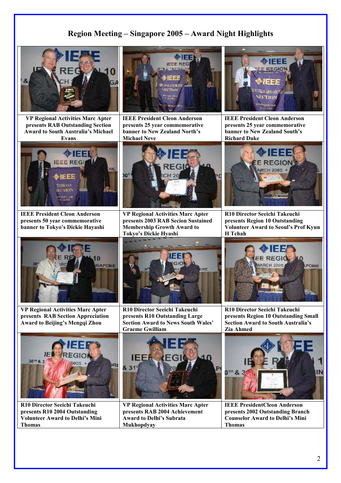### **Region Meeting – Singapore 2005 – Award Night Highlights**



**VP Regional Activities Marc Apter presents RAB Outstanding Section Award to South Australia's Michael Evans** 



**IEEE President Cleon Anderson presents 25 year commemorative banner to New Zealand North's Michael Neve**



**IEEE President Cleon Anderson presents 25 year commemorative banner to New Zealand South's Richard Duke**



**IEEE President Cleon Anderson presents 50 year commemorative banner to Tokyo's Dickie Hayashi** 



**VP Regional Activities Marc Apter presents 2003 RAB Secion Sustained Membership Growth Award to Tokyo's Dickie Hyashi** 



**R10 Director Seeichi Takeuchi presents Region 10 Outstanding Volunteer Award to Seoul's Prof Kyun**



**VP Regional Activities Marc Apter presents RAB Section Appreciation Award to Beijing's Mengqi Zhou** 



**R10 Director Seeichi Takeuchi presents R10 Outstanding Large Section Award to News South Wales' Graeme Gwilliam** 



**R10 Director Seeichi Takeuchi presents Region 10 Outstanding Small Section Award to South Australia's Zia Ahmed** 



**R10 Director Seeichi Takeuchi presents R10 2004 Outstanding Volunteer Award to Delhi's Mini Thomas** 



**VP Regional Activities Marc Apter presents RAB 2004 Achievement Award to Delhi's Subrata Mukhopdyay** 



**IEEE PresidentCleon Anderson presents 2002 Outstanding Branch Counselor Award to Delhi's Mini Thomas** 

ORE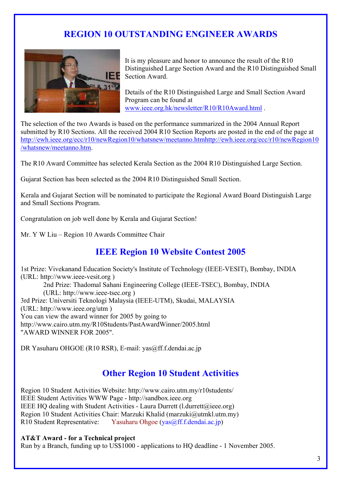# **REGION 10 OUTSTANDING ENGINEER AWARDS**



It is my pleasure and honor to announce the result of the R10 Distinguished Large Section Award and the R10 Distinguished Small **IEF** Section Award.

Details of the R10 Distinguished Large and Small Section Award Program can be found at www.ieee.org.hk/newsletter/R10/R10Award.html .

The selection of the two Awards is based on the performance summarized in the 2004 Annual Report submitted by R10 Sections. All the received 2004 R10 Section Reports are posted in the end of the page at http://ewh.ieee.org/ecc/r10/newRegion10/whatsnew/meetanno.htmhttp://ewh.ieee.org/ecc/r10/newRegion10 /whatsnew/meetanno.htm.

The R10 Award Committee has selected Kerala Section as the 2004 R10 Distinguished Large Section.

Gujarat Section has been selected as the 2004 R10 Distinguished Small Section.

Kerala and Gujarat Section will be nominated to participate the Regional Award Board Distinguish Large and Small Sections Program.

Congratulation on job well done by Kerala and Gujarat Section!

Mr. Y W Liu – Region 10 Awards Committee Chair

### **IEEE Region 10 Website Contest 2005**

1st Prize: Vivekanand Education Society's Institute of Technology (IEEE-VESIT), Bombay, INDIA (URL: http://www.ieee-vesit.org ) 2nd Prize: Thadomal Sahani Engineering College (IEEE-TSEC), Bombay, INDIA (URL: http://www.ieee-tsec.org ) 3rd Prize: Universiti Teknologi Malaysia (IEEE-UTM), Skudai, MALAYSIA (URL: http://www.ieee.org/utm ) You can view the award winner for 2005 by going to http://www.cairo.utm.my/R10Students/PastAwardWinner/2005.html "AWARD WINNER FOR 2005".

DR Yasuharu OHGOE (R10 RSR), E-mail: yas@ff.f.dendai.ac.jp

## **Other Region 10 Student Activities**

Region 10 Student Activities Website: http://www.cairo.utm.my/r10students/ IEEE Student Activities WWW Page - http://sandbox.ieee.org IEEE HQ dealing with Student Activities - Laura Durrett (l.durrett@ieee.org) Region 10 Student Activities Chair: Marzuki Khalid (marzuki@utmkl.utm.my) R10 Student Representative: Yasuharu Ohgoe (yas@ff.f.dendai.ac.jp)

#### **AT&T Award - for a Technical project**

Run by a Branch, funding up to US\$1000 - applications to HQ deadline - 1 November 2005.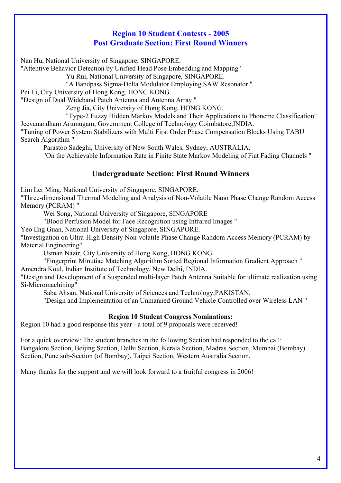### **Region 10 Student Contests - 2005 Post Graduate Section: First Round Winners**

Nan Hu, National University of Singapore, SINGAPORE.

"Attentive Behavior Detection by Unified Head Pose Embedding and Mapping"

Yu Rui, National University of Singapore, SINGAPORE.

"A Bandpass Sigma-Delta Modulator Employing SAW Resonator "

Pei Li, City University of Hong Kong, HONG KONG.

"Design of Dual Wideband Patch Antenna and Antenna Array "

Zeng Jia, City University of Hong Kong, HONG KONG.

"Type-2 Fuzzy Hidden Markov Models and Their Applications to Phoneme Classification" Jeevanandham Arumugam, Government College of Technology Coimbatore,INDIA.

"Tuning of Power System Stabilizers with Multi First Order Phase Compensation Blocks Using TABU Search Algorithm "

Parastoo Sadeghi, University of New South Wales, Sydney, AUSTRALIA.

"On the Achievable Information Rate in Finite State Markov Modeling of Fiat Fading Channels "

### **Undergraduate Section: First Round Winners**

Lim Ler Ming, National University of Singapore, SINGAPORE.

"Three-dimensional Thermal Modeling and Analysis of Non-Volatile Nano Phase Change Random Access Memory (PCRAM) "

Wei Song, National University of Singapore, SINGAPORE

"Blood Perfusion Model for Face Recognition using Infrared Images "

Yeo Eng Guan, National University of Singapore, SINGAPORE.

"Investigation on Ultra-High Density Non-volatile Phase Change Random Access Memory (PCRAM) by Material Engineering"

Usman Nazir, City University of Hong Kong, HONG KONG

"Fingerprint Minutiae Matching Algorithm Sorted Regional Information Gradient Approach " Amendra Koul, Indian Institute of Technology, New Delhi, INDIA.

"Design and Development of a Suspended multi-layer Patch Antenna Suitable for ultimate realization using Si-Micromachining"

Saba Ahsan, National University of Sciences and Technology,PAKISTAN.

"Design and Implementation of an Unmanned Ground Vehicle Controlled over Wireless LAN "

#### **Region 10 Student Congress Nominations:**

Region 10 had a good response this year - a total of 9 proposals were received!

For a quick overview: The student branches in the following Section had responded to the call: Bangalore Section, Beijing Section, Delhi Section, Kerala Section, Madras Section, Mumbai (Bombay) Section, Pune sub-Section (of Bombay), Taipei Section, Western Australia Section.

Many thanks for the support and we will look forward to a fruitful congress in 2006!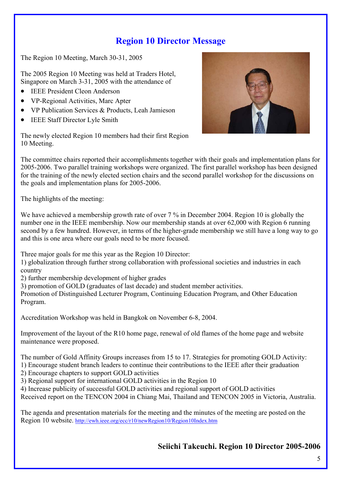# **Region 10 Director Message**

The Region 10 Meeting, March 30-31, 2005

The 2005 Region 10 Meeting was held at Traders Hotel, Singapore on March 3-31, 2005 with the attendance of

- IEEE President Cleon Anderson
- VP-Regional Activities, Marc Apter
- VP Publication Services & Products, Leah Jamieson
- IEEE Staff Director Lyle Smith

The newly elected Region 10 members had their first Region 10 Meeting.

The committee chairs reported their accomplishments together with their goals and implementation plans for 2005-2006. Two parallel training workshops were organized. The first parallel workshop has been designed for the training of the newly elected section chairs and the second parallel workshop for the discussions on the goals and implementation plans for 2005-2006.

The highlights of the meeting:

We have achieved a membership growth rate of over 7 % in December 2004. Region 10 is globally the number one in the IEEE membership. Now our membership stands at over 62,000 with Region 6 running second by a few hundred. However, in terms of the higher-grade membership we still have a long way to go and this is one area where our goals need to be more focused.

Three major goals for me this year as the Region 10 Director:

1) globalization through further strong collaboration with professional societies and industries in each country

2) further membership development of higher grades

3) promotion of GOLD (graduates of last decade) and student member activities.

Promotion of Distinguished Lecturer Program, Continuing Education Program, and Other Education Program.

Accreditation Workshop was held in Bangkok on November 6-8, 2004.

Improvement of the layout of the R10 home page, renewal of old flames of the home page and website maintenance were proposed.

The number of Gold Affinity Groups increases from 15 to 17. Strategies for promoting GOLD Activity:

- 1) Encourage student branch leaders to continue their contributions to the IEEE after their graduation
- 2) Encourage chapters to support GOLD activities
- 3) Regional support for international GOLD activities in the Region 10
- 4) Increase publicity of successful GOLD activities and regional support of GOLD activities

Received report on the TENCON 2004 in Chiang Mai, Thailand and TENCON 2005 in Victoria, Australia.

The agenda and presentation materials for the meeting and the minutes of the meeting are posted on the Region 10 website.<http://ewh.ieee.org/ecc/r10/newRegion10/Region10Index.htm>

### **Seiichi Takeuchi. Region 10 Director 2005-2006**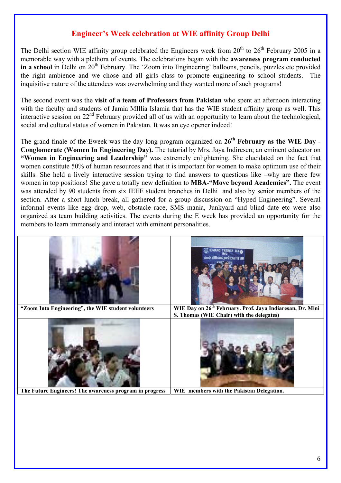### **Engineer's Week celebration at WIE affinity Group Delhi**

The Delhi section WIE affinity group celebrated the Engineers week from  $20^{th}$  to  $26^{th}$  February 2005 in a memorable way with a plethora of events. The celebrations began with the **awareness program conducted** in a school in Delhi on 20<sup>th</sup> February. The 'Zoom into Engineering' balloons, pencils, puzzles etc provided the right ambience and we chose and all girls class to promote engineering to school students. The inquisitive nature of the attendees was overwhelming and they wanted more of such programs!

The second event was the **visit of a team of Professors from Pakistan** who spent an afternoon interacting with the faculty and students of Jamia MIllia Islamia that has the WIE student affinity group as well. This interactive session on  $22<sup>nd</sup>$  February provided all of us with an opportunity to learn about the technological, social and cultural status of women in Pakistan. It was an eye opener indeed!

The grand finale of the Eweek was the day long program organized on **26th February as the WIE Day - Conglomerate (Women In Engineering Day).** The tutorial by Mrs. Jaya Indiresen; an eminent educator on **"Women in Engineering and Leadership"** was extremely enlightening. She elucidated on the fact that women constitute 50% of human resources and that it is important for women to make optimum use of their skills. She held a lively interactive session trying to find answers to questions like –why are there few women in top positions! She gave a totally new definition to **MBA-"Move beyond Academics".** The event was attended by 90 students from six IEEE student branches in Delhi and also by senior members of the section. After a short lunch break, all gathered for a group discussion on "Hyped Engineering". Several informal events like egg drop, web, obstacle race, SMS mania, Junkyard and blind date etc were also organized as team building activities. The events during the E week has provided an opportunity for the members to learn immensely and interact with eminent personalities.

|                                                         | <b>HEE STUDENT BRANCH</b><br><b>WIE Affinity Group, Jania Milia Islami</b> |
|---------------------------------------------------------|----------------------------------------------------------------------------|
| "Zoom Into Engineering", the WIE student volunteers     | WIE Day on 26 <sup>th</sup> February. Prof. Jaya Indiaresan, Dr. Mini      |
|                                                         | S. Thomas (WIE Chair) with the delegates)                                  |
|                                                         |                                                                            |
| The Future Engineers! The awareness program in progress | WIE members with the Pakistan Delegation.                                  |
|                                                         |                                                                            |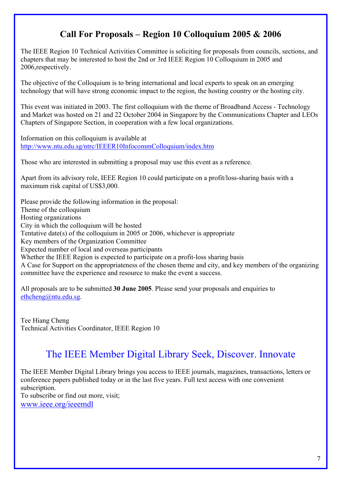# **Call For Proposals – Region 10 Colloquium 2005 & 2006**

The IEEE Region 10 Technical Activities Committee is soliciting for proposals from councils, sections, and chapters that may be interested to host the 2nd or 3rd IEEE Region 10 Colloquium in 2005 and 2006,respectively.

The objective of the Colloquium is to bring international and local experts to speak on an emerging technology that will have strong economic impact to the region, the hosting country or the hosting city.

This event was initiated in 2003. The first colloquium with the theme of Broadband Access - Technology and Market was hosted on 21 and 22 October 2004 in Singapore by the Communications Chapter and LEOs Chapters of Singapore Section, in cooperation with a few local organizations.

Information on this colloquium is available at <http://www.ntu.edu.sg/ntrc/IEEER10InfocommColloquium/index.htm>

Those who are interested in submitting a proposal may use this event as a reference.

Apart from its advisory role, IEEE Region 10 could participate on a profit/loss-sharing basis with a maximum risk capital of US\$3,000.

Please provide the following information in the proposal: Theme of the colloquium Hosting organizations City in which the colloquium will be hosted Tentative date(s) of the colloquium in 2005 or 2006, whichever is appropriate Key members of the Organization Committee Expected number of local and overseas participants Whether the IEEE Region is expected to participate on a profit-loss sharing basis A Case for Support on the appropriateness of the chosen theme and city, and key members of the organizing committee have the experience and resource to make the event a success.

All proposals are to be submitted **30 June 2005**. Please send your proposals and enquiries to [ethcheng@ntu.edu.sg.](mailto:ethcheng@ntu.edu.sg)

Tee Hiang Cheng Technical Activities Coordinator, IEEE Region 10

# The IEEE Member Digital Library Seek, Discover. Innovate

The IEEE Member Digital Library brings you access to IEEE journals, magazines, transactions, letters or conference papers published today or in the last five years. Full text access with one convenient subscription. To subscribe or find out more, visit; [www.ieee.org/ieeemdl](http://www.ieee.org/ieeemdl)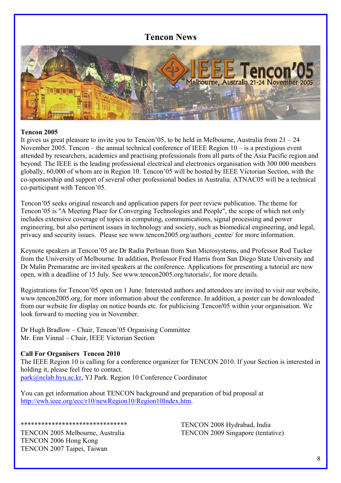### **Tencon News**



#### **Tencon 2005**

It gives us great pleasure to invite you to Tencon'05, to be held in Melbourne, Australia from  $21 - 24$ November 2005. Tencon – the annual technical conference of IEEE Region 10 – is a prestigious event attended by researchers, academics and practising professionals from all parts of the Asia Pacific region and beyond. The IEEE is the leading professional electrical and electronics organisation with 300 000 members globally, 60,000 of whom are in Region 10. Tencon'05 will be hosted by IEEE Victorian Section, with the co-sponsorship and support of several other professional bodies in Australia. ATNAC05 will be a technical co-participant with Tencon'05.

Tencon'05 seeks original research and application papers for peer review publication. The theme for Tencon'05 is "A Meeting Place for Converging Technologies and People", the scope of which not only includes extensive coverage of topics in computing, communications, signal processing and power engineering, but also pertinent issues in technology and society, such as biomedical engineering, and legal, privacy and security issues. Please see www.tencon2005.org/authors\_centre/ for more information.

Keynote speakers at Tencon'05 are Dr Radia Perlman from Sun Microsystems, and Professor Rod Tucker from the University of Melbourne. In addition, Professor Fred Harris from San Diego State University and Dr Malin Premaratne are invited speakers at the conference. Applications for presenting a tutorial are now open, with a deadline of 15 July. See www.tencon2005.org/tutorials/, for more details.

Registrations for Tencon'05 open on 1 June. Interested authors and attendees are invited to visit our website, www.tencon2005.org, for more information about the conference. In addition, a poster can be downloaded from our website for display on notice boards etc. for publicising Tencon'05 within your organisation. We look forward to meeting you in November.

Dr Hugh Bradlow – Chair, Tencon'05 Organising Committee Mr. Enn Vinnal – Chair, IEEE Victorian Section

#### **Call For Organisers Tencon 2010**

The IEEE Region 10 is calling for a conference organizer for TENCON 2010. If your Section is interested in holding it, please feel free to contact. [park@nclab.hyu.ac.kr](mailto:park@nclab.hyu.ac.kr), YJ Park. Region 10 Conference Coordinator

You can get information about TENCON background and preparation of bid proposal at [http://ewh.ieee.org/ecc/r10/newRegion10/Region10Index.htm.](http://ewh.ieee.org/ecc/r10/newRegion10/Region10Index.htm)

TENCON 2005 Melbourne, Australia TENCON 2006 Hong Kong TENCON 2007 Taipei, Taiwan

\*\*\*\*\*\*\*\*\*\*\*\*\*\*\*\*\*\*\*\*\*\*\*

TENCON 2008 Hydrabad, India TENCON 2009 Singapore (tentative)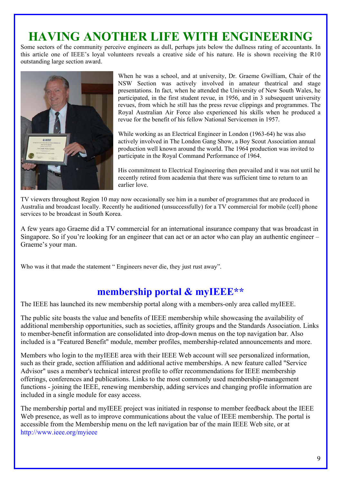# **HAVING ANOTHER LIFE WITH ENGINEERING**

Some sectors of the community perceive engineers as dull, perhaps juts below the dullness rating of accountants. In this article one of IEEE's loyal volunteers reveals a creative side of his nature. He is shown receiving the R10 outstanding large section award.



When he was a school, and at university, Dr. Graeme Gwilliam, Chair of the NSW Section was actively involved in amateur theatrical and stage presentations. In fact, when he attended the University of New South Wales, he participated, in the first student revue, in 1956, and in 3 subsequent university revues, from which he still has the press revue clippings and programmes. The Royal Australian Air Force also experienced his skills when he produced a revue for the benefit of his fellow National Servicemen in 1957.

While working as an Electrical Engineer in London (1963-64) he was also actively involved in The London Gang Show, a Boy Scout Association annual production well known around the world. The 1964 production was invited to participate in the Royal Command Performance of 1964.

His commitment to Electrical Engineering then prevailed and it was not until he recently retired from academia that there was sufficient time to return to an earlier love.

TV viewers throughout Region 10 may now occasionally see him in a number of programmes that are produced in Australia and broadcast locally. Recently he auditioned (unsuccessfully) for a TV commercial for mobile (cell) phone services to be broadcast in South Korea.

A few years ago Graeme did a TV commercial for an international insurance company that was broadcast in Singapore. So if you're looking for an engineer that can act or an actor who can play an authentic engineer – Graeme's your man.

Who was it that made the statement " Engineers never die, they just rust away".

# **membership portal & myIEEE\*\***

The IEEE has launched its new membership portal along with a members-only area called myIEEE.

The public site boasts the value and benefits of IEEE membership while showcasing the availability of additional membership opportunities, such as societies, affinity groups and the Standards Association. Links to member-benefit information are consolidated into drop-down menus on the top navigation bar. Also included is a "Featured Benefit" module, member profiles, membership-related announcements and more.

Members who login to the myIEEE area with their IEEE Web account will see personalized information, such as their grade, section affiliation and additional active memberships. A new feature called "Service Advisor" uses a member's technical interest profile to offer recommendations for IEEE membership offerings, conferences and publications. Links to the most commonly used membership-management functions - joining the IEEE, renewing membership, adding services and changing profile information are included in a single module for easy access.

The membership portal and myIEEE project was initiated in response to member feedback about the IEEE Web presence, as well as to improve communications about the value of IEEE membership. The portal is accessible from the Membership menu on the left navigation bar of the main IEEE Web site, or at http://www.ieee.org/myieee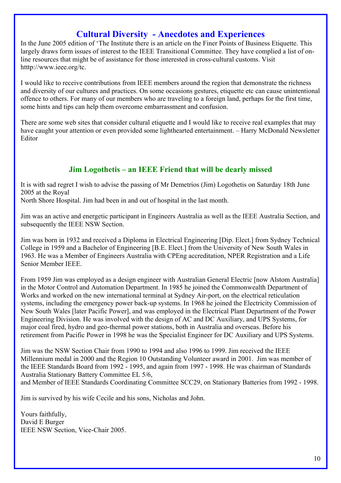### **Cultural Diversity - Anecdotes and Experiences**

In the June 2005 edition of 'The Institute there is an article on the Finer Points of Business Etiquette. This largely draws form issues of interest to the IEEE Transitional Committee. They have complied a list of online resources that might be of assistance for those interested in cross-cultural customs. Visit htttp://www.ieee.org/tc.

I would like to receive contributions from IEEE members around the region that demonstrate the richness and diversity of our cultures and practices. On some occasions gestures, etiquette etc can cause unintentional offence to others. For many of our members who are traveling to a foreign land, perhaps for the first time, some hints and tips can help them overcome embarrassment and confusion.

There are some web sites that consider cultural etiquette and I would like to receive real examples that may have caught your attention or even provided some lighthearted entertainment. – Harry McDonald Newsletter Editor

### **Jim Logothetis – an IEEE Friend that will be dearly missed**

It is with sad regret I wish to advise the passing of Mr Demetrios (Jim) Logothetis on Saturday 18th June 2005 at the Royal

North Shore Hospital. Jim had been in and out of hospital in the last month.

Jim was an active and energetic participant in Engineers Australia as well as the IEEE Australia Section, and subsequently the IEEE NSW Section.

Jim was born in 1932 and received a Diploma in Electrical Engineering [Dip. Elect.] from Sydney Technical College in 1959 and a Bachelor of Engineering [B.E. Elect.] from the University of New South Wales in 1963. He was a Member of Engineers Australia with CPEng accreditation, NPER Registration and a Life Senior Member IEEE.

From 1959 Jim was employed as a design engineer with Australian General Electric [now Alstom Australia] in the Motor Control and Automation Department. In 1985 he joined the Commonwealth Department of Works and worked on the new international terminal at Sydney Air-port, on the electrical reticulation systems, including the emergency power back-up systems. In 1968 he joined the Electricity Commission of New South Wales [later Pacific Power], and was employed in the Electrical Plant Department of the Power Engineering Division. He was involved with the design of AC and DC Auxiliary, and UPS Systems, for major coal fired, hydro and geo-thermal power stations, both in Australia and overseas. Before his retirement from Pacific Power in 1998 he was the Specialist Engineer for DC Auxiliary and UPS Systems.

Jim was the NSW Section Chair from 1990 to 1994 and also 1996 to 1999. Jim received the IEEE Millennium medal in 2000 and the Region 10 Outstanding Volunteer award in 2001. Jim was member of the IEEE Standards Board from 1992 - 1995, and again from 1997 - 1998. He was chairman of Standards Australia Stationary Battery Committee EL 5/6,

and Member of IEEE Standards Coordinating Committee SCC29, on Stationary Batteries from 1992 - 1998.

Jim is survived by his wife Cecile and his sons, Nicholas and John.

Yours faithfully, David E Burger IEEE NSW Section, Vice-Chair 2005.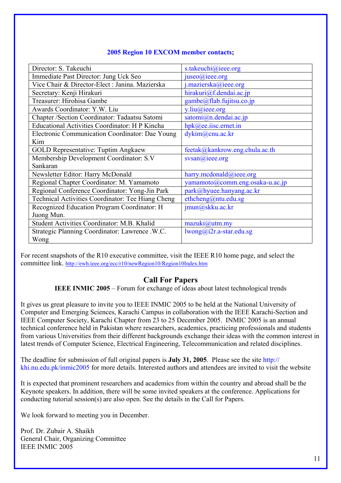| Director: S. Takeuchi                                 | s.takeuchi@ieee.org             |
|-------------------------------------------------------|---------------------------------|
| Immediate Past Director: Jung Uck Seo                 | juseo(a)ieee.org                |
| Vice Chair & Director-Elect : Janina. Mazierska       | j.mazierska@ieee.org            |
| Secretary: Kenji Hirakuri                             | hirakuri@f.dendai.ac.jp         |
| Treasurer: Hirohisa Gambe                             | gambe@flab.fujitsu.co.jp        |
| Awards Coordinator: Y.W. Liu                          | y.liu@ieee.org                  |
| Chapter /Section Coordinator: Tadaatsu Satomi         | satomi@n.dendai.ac.jp           |
| <b>Educational Activities Coordinator: H P Kincha</b> | hpk@ee.iisc.ernet.in            |
| Electronic Communication Coordinator: Dae Young       | dykim@cnu.ac.kr                 |
| Kim                                                   |                                 |
| <b>GOLD Representative: Tuptim Angkaew</b>            | feetak@kankrow.eng.chula.ac.th  |
| Membership Development Coordinator: S.V               | svsan(a) ieee.org               |
| Sankaran                                              |                                 |
| Newsletter Editor: Harry McDonald                     | harry.mcdonald@ieee.org         |
| Regional Chapter Coordinator: M. Yamamoto             | yamamoto@comm.eng.osaka-u.ac.jp |
| Regional Conference Coordinator: Yong-Jin Park        | park@hyuee.hanyang.ac.kr        |
| Technical Activities Coordinator: Tee Hiang Cheng     | ethcheng@ntu.edu.sg             |
| Recognized Education Program Coordinator: H           | jmun@skku.ac.kr                 |
| Juong Mun.                                            |                                 |
| Student Activities Coordinator: M.B. Khalid           | maxuki@utm(my                   |
| Strategic Planning Coordinator: Lawrence .W.C.        | $lwong@i2r.a-star.edu.sg$       |
| Wong                                                  |                                 |

#### **2005 Region 10 EXCOM member contacts;**

For recent snapshots of the R10 executive committee, visit the IEEE R10 home page, and select the committee link.<http://ewh.ieee.org/ecc/r10/newRegion10/Region10Index.htm>

#### **Call For Papers**

**IEEE INMIC 2005** – Forum for exchange of ideas about latest technological trends

It gives us great pleasure to invite you to IEEE INMIC 2005 to be held at the National University of Computer and Emerging Sciences, Karachi Campus in collaboration with the IEEE Karachi-Section and IEEE Computer Society, Karachi Chapter from 23 to 25 December 2005. INMIC 2005 is an annual technical conference held in Pakistan where researchers, academics, practicing professionals and students from various Universities from their different backgrounds exchange their ideas with the common interest in latest trends of Computer Science, Electrical Engineering, Telecommunication and related disciplines.

The deadline for submission of full original papers is **July 31, 2005**. Please see the site http:// khi.nu.edu.pk/inmic2005 for more details. Interested authors and attendees are invited to visit the website

It is expected that prominent researchers and academics from within the country and abroad shall be the Keynote speakers. In addition, there will be some invited speakers at the conference. Applications for conducting tutorial session(s) are also open. See the details in the Call for Papers.

We look forward to meeting you in December.

Prof. Dr. Zubair A. Shaikh General Chair, Organizing Committee IEEE INMIC 2005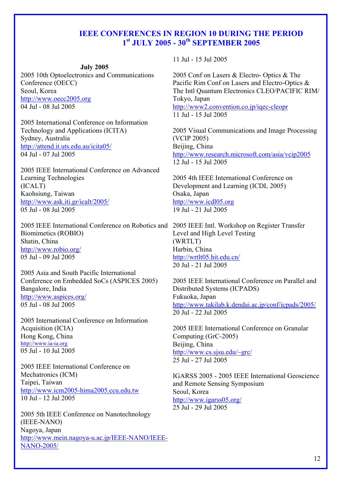#### **IEEE CONFERENCES IN REGION 10 DURING THE PERIOD 1st JULY 2005 - 30th SEPTEMBER 2005**

#### **July 2005**

2005 10th Optoelectronics and Communications Conference (OECC) Seoul, Korea http://www.oecc2005.org 04 Jul - 08 Jul 2005

2005 International Conference on Information Technology and Applications (ICITA) Sydney, Australia http://attend.it.uts.edu.au/icita05/ 04 Jul - 07 Jul 2005

2005 IEEE International Conference on Advanced Learning Technologies (ICALT) Kaohsiung, Taiwan http://www.ask.iti.gr/icalt/2005/ 05 Jul - 08 Jul 2005

2005 IEEE International Conference on Robotics and 2005 IEEE Intl. Workshop on Register Transfer Biomimetics (ROBIO) Shatin, China http://www.robio.org/ 05 Jul - 09 Jul 2005

2005 Asia and South Pacific International Conference on Embedded SoCs (ASPICES 2005) Bangalore, India http://www.aspices.org/ 05 Jul - 08 Jul 2005

2005 International Conference on Information Acquisition (ICIA) Hong Kong, China [http://www.ia-ia.org](http://www.ia-ia.org/) 05 Jul - 10 Jul 2005

2005 IEEE International Conference on Mechatronics (ICM) Taipei, Taiwan http://www.icm2005-hima2005.ccu.edu.tw 10 Jul - 12 Jul 2005

2005 5th IEEE Conference on Nanotechnology (IEEE-NANO) Nagoya, Japan http://www.mein.nagoya-u.ac.jp/IEEE-NANO/IEEE-NANO-2005/

11 Jul - 15 Jul 2005

2005 Conf on Lasers & Electro- Optics & The Pacific Rim Conf on Lasers and Electro-Optics & The Intl Quantum Electronics CLEO/PACIFIC RIM/ Tokyo, Japan http://www2.convention.co.jp/iqec-cleopr 11 Jul - 15 Jul 2005

2005 Visual Communications and Image Processing (VCIP 2005) Beijing, China http://www.research.microsoft.com/asia/vcip2005 12 Jul - 15 Jul 2005

2005 4th IEEE International Conference on Development and Learning (ICDL 2005) Osaka, Japan http://www.icdl05.org 19 Jul - 21 Jul 2005

Level and High Level Testing (WRTLT) Harbin, China http://wrtlt05.hit.edu.cn/ 20 Jul - 21 Jul 2005

2005 IEEE International Conference on Parallel and Distributed Systems (ICPADS) Fukuoka, Japan http://www.takilab.k.dendai.ac.jp/conf/icpads/2005/ 20 Jul - 22 Jul 2005

2005 IEEE International Conference on Granular Computing (GrC-2005) Beijing, China http://www.cs.sjsu.edu/~grc/ 25 Jul - 27 Jul 2005

IGARSS 2005 - 2005 IEEE International Geoscience and Remote Sensing Symposium Seoul, Korea http://www.igarss05.org/ 25 Jul - 29 Jul 2005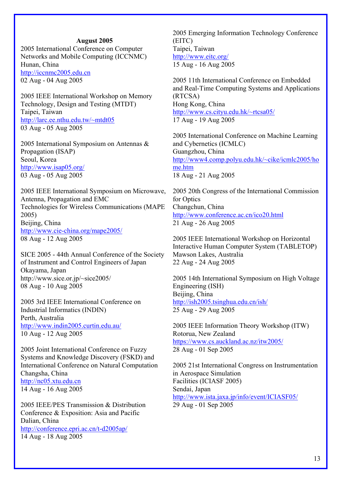#### **August 2005**

2005 International Conference on Computer Networks and Mobile Computing (ICCNMC) Hunan, China http://iccnmc2005.edu.cn

02 Aug - 04 Aug 2005

2005 IEEE International Workshop on Memory Technology, Design and Testing (MTDT) Taipei, Taiwan http://larc.ee.nthu.edu.tw/~mtdt05 03 Aug - 05 Aug 2005

2005 International Symposium on Antennas & Propagation (ISAP) Seoul, Korea http://www.isap05.org/ 03 Aug - 05 Aug 2005

2005 IEEE International Symposium on Microwave, Antenna, Propagation and EMC Technologies for Wireless Communications (MAPE 2005) Beijing, China http://www.cie-china.org/mape2005/ 08 Aug - 12 Aug 2005

SICE 2005 - 44th Annual Conference of the Society of Instrument and Control Engineers of Japan Okayama, Japan http://www.sice.or.jp/~sice2005/ 08 Aug - 10 Aug 2005

2005 3rd IEEE International Conference on Industrial Informatics (INDIN) Perth, Australia http://www.indin2005.curtin.edu.au/ 10 Aug - 12 Aug 2005

2005 Joint International Conference on Fuzzy Systems and Knowledge Discovery (FSKD) and International Conference on Natural Computation Changsha, China http://nc05.xtu.edu.cn 14 Aug - 16 Aug 2005

2005 IEEE/PES Transmission & Distribution Conference & Exposition: Asia and Pacific Dalian, China http://conference.epri.ac.cn/t-d2005ap/ 14 Aug - 18 Aug 2005

2005 Emerging Information Technology Conference (EITC) Taipei, Taiwan http://www.eitc.org/ 15 Aug - 16 Aug 2005

2005 11th International Conference on Embedded and Real-Time Computing Systems and Applications (RTCSA) Hong Kong, China http://www.cs.cityu.edu.hk/~rtcsa05/ 17 Aug - 19 Aug 2005

2005 International Conference on Machine Learning and Cybernetics (ICMLC) Guangzhou, China http://www4.comp.polyu.edu.hk/~cike/icmlc2005/ho me.htm 18 Aug - 21 Aug 2005

2005 20th Congress of the International Commission for Optics Changchun, China http://www.conference.ac.cn/ico20.html 21 Aug - 26 Aug 2005

2005 IEEE International Workshop on Horizontal Interactive Human Computer System (TABLETOP) Mawson Lakes, Australia 22 Aug - 24 Aug 2005

2005 14th International Symposium on High Voltage Engineering (ISH) Beijing, China http://ish2005.tsinghua.edu.cn/ish/ 25 Aug - 29 Aug 2005

2005 IEEE Information Theory Workshop (ITW) Rotorua, New Zealand https://www.cs.auckland.ac.nz/itw2005/ 28 Aug - 01 Sep 2005

2005 21st International Congress on Instrumentation in Aerospace Simulation Facilities (ICIASF 2005) Sendai, Japan http://www.ista.jaxa.jp/info/event/ICIASF05/ 29 Aug - 01 Sep 2005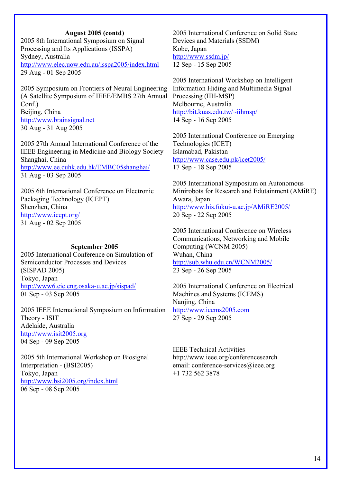#### **August 2005 (contd)**

2005 8th International Symposium on Signal Processing and Its Applications (ISSPA) Sydney, Australia http://www.elec.uow.edu.au/isspa2005/index.html 29 Aug - 01 Sep 2005

2005 Symposium on Frontiers of Neural Engineering (A Satellite Symposium of IEEE/EMBS 27th Annual  $Conf$ ) Beijing, China http://www.brainsignal.net 30 Aug - 31 Aug 2005

2005 27th Annual International Conference of the IEEE Engineering in Medicine and Biology Society Shanghai, China

http://www.ee.cuhk.edu.hk/EMBC05shanghai/ 31 Aug - 03 Sep 2005

2005 6th International Conference on Electronic Packaging Technology (ICEPT) Shenzhen, China http://www.icept.org/ 31 Aug - 02 Sep 2005

#### **September 2005**

2005 International Conference on Simulation of Semiconductor Processes and Devices (SISPAD 2005) Tokyo, Japan http://www6.eie.eng.osaka-u.ac.jp/sispad/ 01 Sep - 03 Sep 2005

2005 IEEE International Symposium on Information Theory - ISIT Adelaide, Australia http://www.isit2005.org 04 Sep - 09 Sep 2005

2005 5th International Workshop on Biosignal Interpretation - (BSI2005) Tokyo, Japan http://www.bsi2005.org/index.html 06 Sep - 08 Sep 2005

2005 International Conference on Solid State Devices and Materials (SSDM) Kobe, Japan http://www.ssdm.jp/ 12 Sep - 15 Sep 2005

2005 International Workshop on Intelligent Information Hiding and Multimedia Signal Processing (IIH-MSP) Melbourne, Australia http://bit.kuas.edu.tw/~iihmsp/ 14 Sep - 16 Sep 2005

2005 International Conference on Emerging Technologies (ICET) Islamabad, Pakistan http://www.case.edu.pk/icet2005/ 17 Sep - 18 Sep 2005

2005 International Symposium on Autonomous Minirobots for Research and Edutainment (AMiRE) Awara, Japan http://www.his.fukui-u.ac.jp/AMiRE2005/ 20 Sep - 22 Sep 2005

2005 International Conference on Wireless Communications, Networking and Mobile Computing (WCNM 2005) Wuhan, China http://sub.whu.edu.cn/WCNM2005/ 23 Sep - 26 Sep 2005

2005 International Conference on Electrical Machines and Systems (ICEMS) Nanjing, China http://www.icems2005.com 27 Sep - 29 Sep 2005

IEEE Technical Activities http://www.ieee.org/conferencesearch email: conference-services@ieee.org +1 732 562 3878